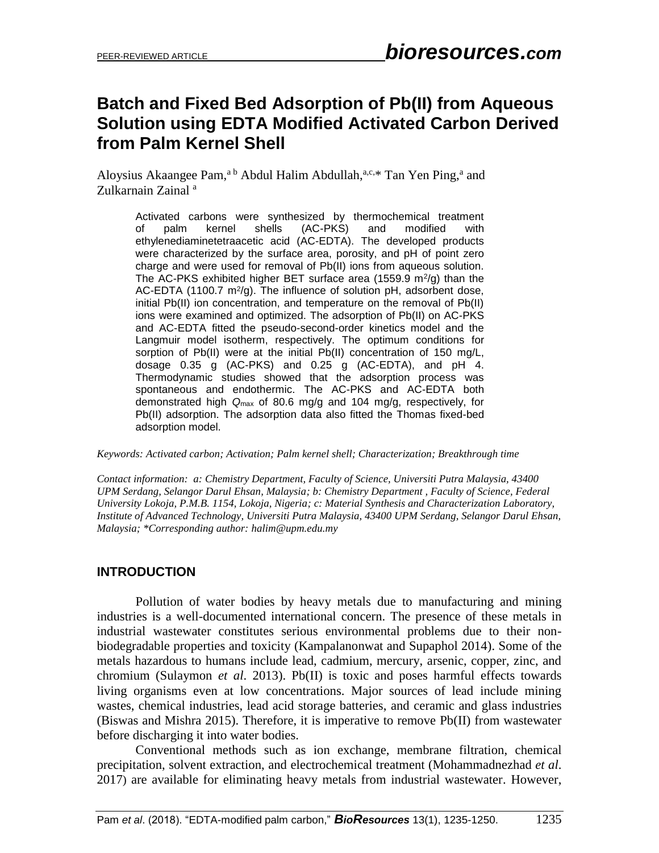# **Batch and Fixed Bed Adsorption of Pb(II) from Aqueous Solution using EDTA Modified Activated Carbon Derived from Palm Kernel Shell**

Aloysius Akaangee Pam,<sup>a b</sup> Abdul Halim Abdullah,<sup>a,c,\*</sup> Tan Yen Ping,<sup>a</sup> and Zulkarnain Zainal<sup>a</sup>

Activated carbons were synthesized by thermochemical treatment of palm kernel shells (AC-PKS) and modified with ethylenediaminetetraacetic acid (AC-EDTA). The developed products were characterized by the surface area, porosity, and pH of point zero charge and were used for removal of Pb(II) ions from aqueous solution. The AC-PKS exhibited higher BET surface area (1559.9  $\text{m}^2/\text{g}$ ) than the AC-EDTA (1100.7 m<sup>2</sup>/g). The influence of solution pH, adsorbent dose, initial Pb(II) ion concentration, and temperature on the removal of Pb(II) ions were examined and optimized. The adsorption of Pb(II) on AC-PKS and AC-EDTA fitted the pseudo-second-order kinetics model and the Langmuir model isotherm, respectively. The optimum conditions for sorption of Pb(II) were at the initial Pb(II) concentration of 150 mg/L, dosage 0.35 g (AC-PKS) and 0.25 g (AC-EDTA), and pH 4. Thermodynamic studies showed that the adsorption process was spontaneous and endothermic. The AC-PKS and AC-EDTA both demonstrated high *Q*max of 80.6 mg/g and 104 mg/g, respectively, for Pb(II) adsorption. The adsorption data also fitted the Thomas fixed-bed adsorption model.

*Keywords: Activated carbon; Activation; Palm kernel shell; Characterization; Breakthrough time*

*Contact information: a: Chemistry Department, Faculty of Science, Universiti Putra Malaysia, 43400 UPM Serdang, Selangor Darul Ehsan, Malaysia; b: Chemistry Department , Faculty of Science, Federal University Lokoja, P.M.B. 1154, Lokoja, Nigeria; c: Material Synthesis and Characterization Laboratory, Institute of Advanced Technology, Universiti Putra Malaysia, 43400 UPM Serdang, Selangor Darul Ehsan, Malaysia; \*Corresponding author: halim@upm.edu.my* 

# **INTRODUCTION**

Pollution of water bodies by heavy metals due to manufacturing and mining industries is a well-documented international concern. The presence of these metals in industrial wastewater constitutes serious environmental problems due to their nonbiodegradable properties and toxicity (Kampalanonwat and Supaphol 2014). Some of the metals hazardous to humans include lead, cadmium, mercury, arsenic, copper, zinc, and chromium (Sulaymon *et al*. 2013). Pb(II) is toxic and poses harmful effects towards living organisms even at low concentrations. Major sources of lead include mining wastes, chemical industries, lead acid storage batteries, and ceramic and glass industries (Biswas and Mishra 2015). Therefore, it is imperative to remove Pb(II) from wastewater before discharging it into water bodies.

Conventional methods such as ion exchange, membrane filtration, chemical precipitation, solvent extraction, and electrochemical treatment (Mohammadnezhad *et al*. 2017) are available for eliminating heavy metals from industrial wastewater. However,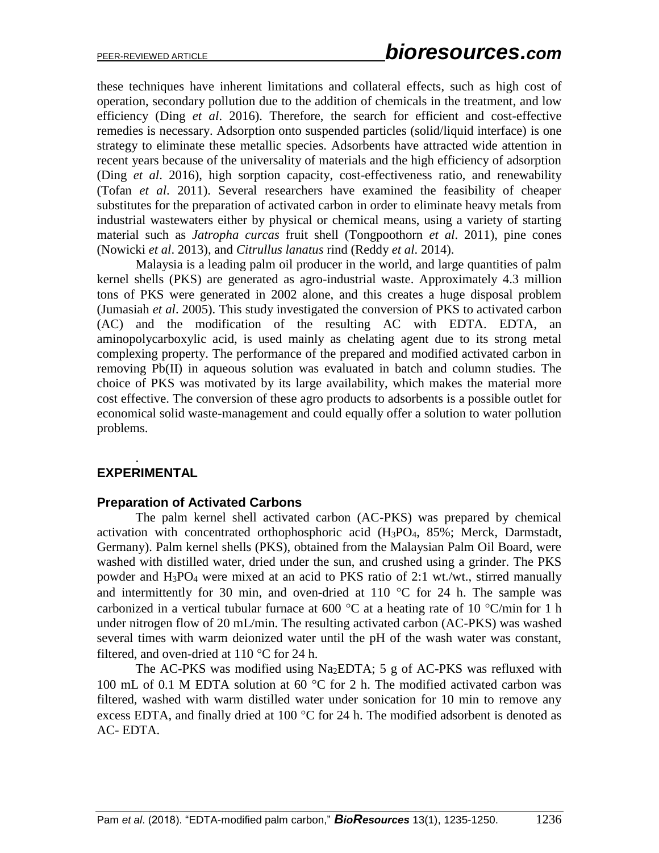these techniques have inherent limitations and collateral effects, such as high cost of operation, secondary pollution due to the addition of chemicals in the treatment, and low efficiency (Ding *et al*. 2016). Therefore, the search for efficient and cost-effective remedies is necessary. Adsorption onto suspended particles (solid/liquid interface) is one strategy to eliminate these metallic species. Adsorbents have attracted wide attention in recent years because of the universality of materials and the high efficiency of adsorption (Ding *et al*. 2016), high sorption capacity, cost-effectiveness ratio, and renewability (Tofan *et al*. 2011). Several researchers have examined the feasibility of cheaper substitutes for the preparation of activated carbon in order to eliminate heavy metals from industrial wastewaters either by physical or chemical means, using a variety of starting material such as *Jatropha curcas* fruit shell (Tongpoothorn *et al*. 2011), pine cones (Nowicki *et al*. 2013), and *Citrullus lanatus* rind (Reddy *et al*. 2014).

Malaysia is a leading palm oil producer in the world, and large quantities of palm kernel shells (PKS) are generated as agro-industrial waste. Approximately 4.3 million tons of PKS were generated in 2002 alone, and this creates a huge disposal problem (Jumasiah *et al*. 2005). This study investigated the conversion of PKS to activated carbon (AC) and the modification of the resulting AC with EDTA. EDTA, an aminopolycarboxylic acid, is used mainly as chelating agent due to its strong metal complexing property. The performance of the prepared and modified activated carbon in removing Pb(II) in aqueous solution was evaluated in batch and column studies. The choice of PKS was motivated by its large availability, which makes the material more cost effective. The conversion of these agro products to adsorbents is a possible outlet for economical solid waste-management and could equally offer a solution to water pollution problems.

# **EXPERIMENTAL**

.

#### **Preparation of Activated Carbons**

The palm kernel shell activated carbon (AC-PKS) was prepared by chemical activation with concentrated orthophosphoric acid (H3PO4, 85%; Merck, Darmstadt, Germany). Palm kernel shells (PKS), obtained from the Malaysian Palm Oil Board, were washed with distilled water, dried under the sun, and crushed using a grinder. The PKS powder and H3PO<sup>4</sup> were mixed at an acid to PKS ratio of 2:1 wt./wt., stirred manually and intermittently for 30 min, and oven-dried at 110  $^{\circ}$ C for 24 h. The sample was carbonized in a vertical tubular furnace at 600  $^{\circ}$ C at a heating rate of 10  $^{\circ}$ C/min for 1 h under nitrogen flow of 20 mL/min. The resulting activated carbon (AC-PKS) was washed several times with warm deionized water until the pH of the wash water was constant, filtered, and oven-dried at  $110^{\circ}$ C for 24 h.

The AC-PKS was modified using Na2EDTA; 5 g of AC-PKS was refluxed with 100 mL of 0.1 M EDTA solution at 60  $^{\circ}$ C for 2 h. The modified activated carbon was filtered, washed with warm distilled water under sonication for 10 min to remove any excess EDTA, and finally dried at 100  $\degree$ C for 24 h. The modified adsorbent is denoted as AC- EDTA.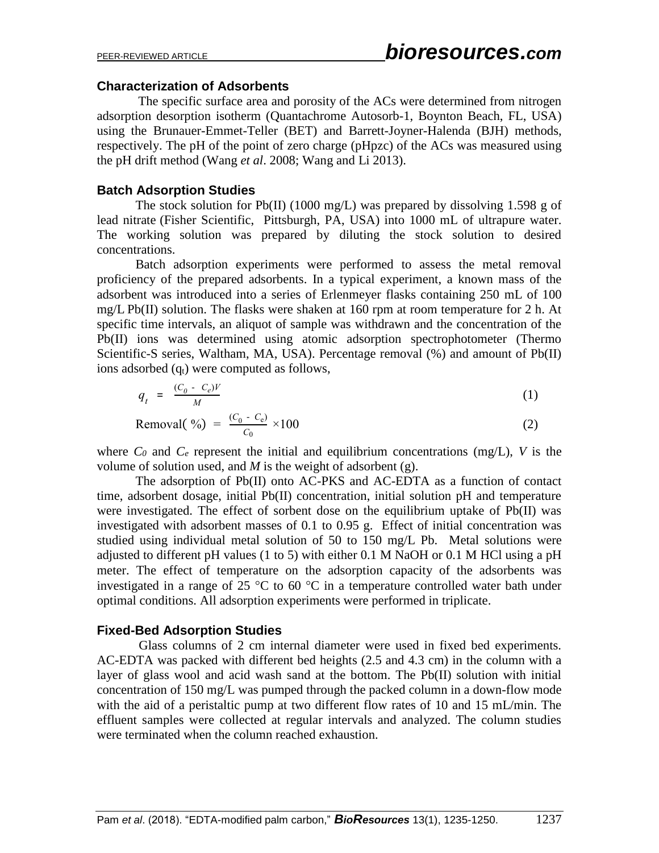#### **Characterization of Adsorbents**

The specific surface area and porosity of the ACs were determined from nitrogen adsorption desorption isotherm (Quantachrome Autosorb-1, Boynton Beach, FL, USA) using the Brunauer-Emmet-Teller (BET) and Barrett-Joyner-Halenda (BJH) methods, respectively. The pH of the point of zero charge (pHpzc) of the ACs was measured using the pH drift method (Wang *et al*. 2008; Wang and Li 2013).

## **Batch Adsorption Studies**

The stock solution for Pb(II) (1000 mg/L) was prepared by dissolving 1.598 g of lead nitrate (Fisher Scientific, Pittsburgh, PA, USA) into 1000 mL of ultrapure water. The working solution was prepared by diluting the stock solution to desired concentrations.

Batch adsorption experiments were performed to assess the metal removal proficiency of the prepared adsorbents. In a typical experiment, a known mass of the adsorbent was introduced into a series of Erlenmeyer flasks containing 250 mL of 100 mg/L Pb(II) solution. The flasks were shaken at 160 rpm at room temperature for 2 h. At specific time intervals, an aliquot of sample was withdrawn and the concentration of the Pb(II) ions was determined using atomic adsorption spectrophotometer (Thermo Scientific-S series, Waltham, MA, USA). Percentage removal (%) and amount of Pb(II) ions adsorbed  $(q_t)$  were computed as follows,

$$
q_t = \frac{(C_0 - C_e)V}{M} \tag{1}
$$

$$
Removal( %) = \frac{(C_0 - C_e)}{C_0} \times 100 \tag{2}
$$

where  $C_0$  and  $C_e$  represent the initial and equilibrium concentrations (mg/L), *V* is the volume of solution used, and *M* is the weight of adsorbent (g).

The adsorption of Pb(II) onto AC-PKS and AC-EDTA as a function of contact time, adsorbent dosage, initial Pb(II) concentration, initial solution pH and temperature were investigated. The effect of sorbent dose on the equilibrium uptake of Pb(II) was investigated with adsorbent masses of 0.1 to 0.95 g. Effect of initial concentration was studied using individual metal solution of 50 to 150 mg/L Pb. Metal solutions were adjusted to different pH values (1 to 5) with either 0.1 M NaOH or 0.1 M HCl using a pH meter. The effect of temperature on the adsorption capacity of the adsorbents was investigated in a range of 25  $\degree$ C to 60  $\degree$ C in a temperature controlled water bath under optimal conditions. All adsorption experiments were performed in triplicate.

# **Fixed-Bed Adsorption Studies**

Glass columns of 2 cm internal diameter were used in fixed bed experiments. AC-EDTA was packed with different bed heights (2.5 and 4.3 cm) in the column with a layer of glass wool and acid wash sand at the bottom. The Pb(II) solution with initial concentration of 150 mg/L was pumped through the packed column in a down-flow mode with the aid of a peristaltic pump at two different flow rates of 10 and 15 mL/min. The effluent samples were collected at regular intervals and analyzed. The column studies were terminated when the column reached exhaustion.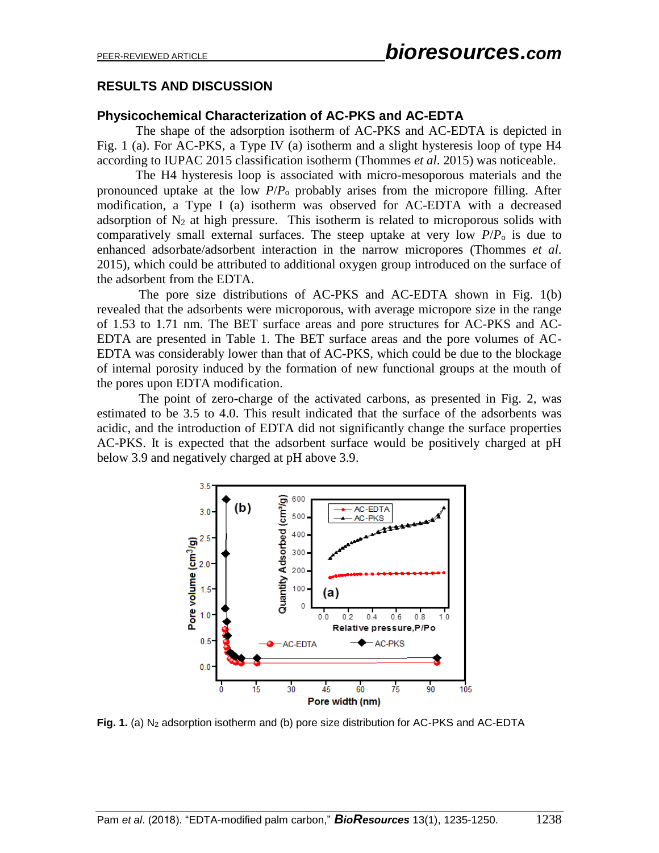# **RESULTS AND DISCUSSION**

#### **Physicochemical Characterization of AC-PKS and AC-EDTA**

The shape of the adsorption isotherm of AC-PKS and AC-EDTA is depicted in Fig. 1 (a). For AC-PKS, a Type IV (a) isotherm and a slight hysteresis loop of type H4 according to IUPAC 2015 classification isotherm (Thommes *et al*. 2015) was noticeable.

The H4 hysteresis loop is associated with micro-mesoporous materials and the pronounced uptake at the low *P*/*P*<sup>o</sup> probably arises from the micropore filling. After modification, a Type I (a) isotherm was observed for AC-EDTA with a decreased adsorption of  $N_2$  at high pressure. This isotherm is related to microporous solids with comparatively small external surfaces. The steep uptake at very low  $P/P<sub>o</sub>$  is due to enhanced adsorbate/adsorbent interaction in the narrow micropores (Thommes *et al*. 2015), which could be attributed to additional oxygen group introduced on the surface of the adsorbent from the EDTA.

The pore size distributions of AC-PKS and AC-EDTA shown in Fig. 1(b) revealed that the adsorbents were microporous, with average micropore size in the range of 1.53 to 1.71 nm. The BET surface areas and pore structures for AC-PKS and AC-EDTA are presented in Table 1. The BET surface areas and the pore volumes of AC-EDTA was considerably lower than that of AC-PKS, which could be due to the blockage of internal porosity induced by the formation of new functional groups at the mouth of the pores upon EDTA modification.

The point of zero-charge of the activated carbons, as presented in Fig. 2, was estimated to be 3.5 to 4.0. This result indicated that the surface of the adsorbents was acidic, and the introduction of EDTA did not significantly change the surface properties AC-PKS. It is expected that the adsorbent surface would be positively charged at pH below 3.9 and negatively charged at pH above 3.9.



Fig. 1. (a) N<sub>2</sub> adsorption isotherm and (b) pore size distribution for AC-PKS and AC-EDTA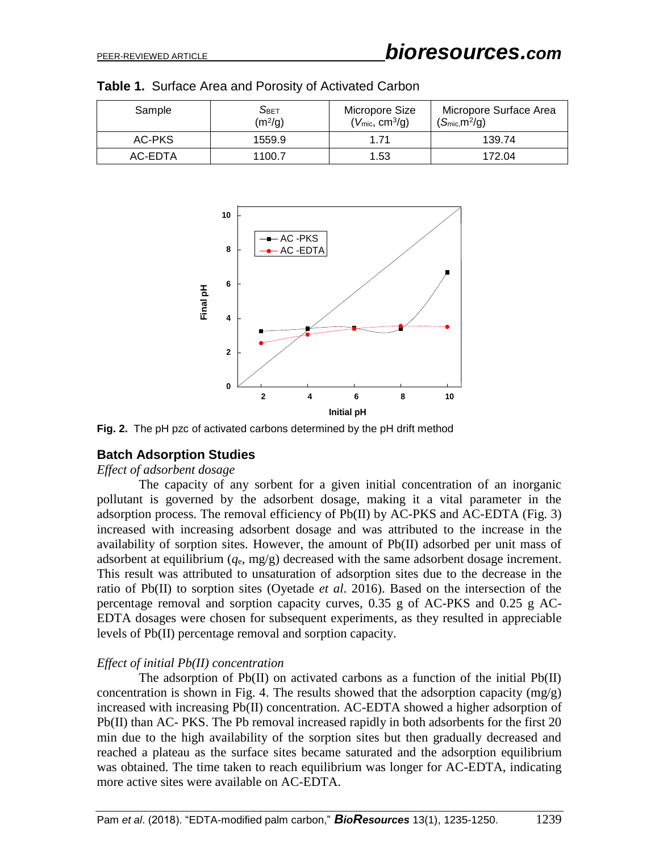| Sample  | $S_{\text{BET}}$<br>(m <sup>2</sup> /g) | Micropore Size<br>$(V_{\text{mic}}, \text{cm}^3/\text{g})$ | Micropore Surface Area<br>$(S_{\text{mic}}, m^2/g)$ |
|---------|-----------------------------------------|------------------------------------------------------------|-----------------------------------------------------|
| AC-PKS  | 1559.9                                  | 1.71                                                       | 139.74                                              |
| AC-EDTA | 1100.7                                  | 1.53                                                       | 172.04                                              |

|  |  |  |  | Table 1. Surface Area and Porosity of Activated Carbon |
|--|--|--|--|--------------------------------------------------------|
|--|--|--|--|--------------------------------------------------------|



**Fig. 2.** The pH pzc of activated carbons determined by the pH drift method

# **Batch Adsorption Studies**

#### *Effect of adsorbent dosage*

The capacity of any sorbent for a given initial concentration of an inorganic pollutant is governed by the adsorbent dosage, making it a vital parameter in the adsorption process. The removal efficiency of Pb(II) by AC-PKS and AC-EDTA (Fig. 3) increased with increasing adsorbent dosage and was attributed to the increase in the availability of sorption sites. However, the amount of Pb(II) adsorbed per unit mass of adsorbent at equilibrium (*q*e, mg/g) decreased with the same adsorbent dosage increment. This result was attributed to unsaturation of adsorption sites due to the decrease in the ratio of Pb(II) to sorption sites (Oyetade *et al*. 2016). Based on the intersection of the percentage removal and sorption capacity curves, 0.35 g of AC-PKS and 0.25 g AC-EDTA dosages were chosen for subsequent experiments, as they resulted in appreciable levels of Pb(II) percentage removal and sorption capacity.

#### *Effect of initial Pb(II) concentration*

The adsorption of Pb(II) on activated carbons as a function of the initial Pb(II) concentration is shown in Fig. 4. The results showed that the adsorption capacity (mg/g) increased with increasing Pb(II) concentration. AC-EDTA showed a higher adsorption of Pb(II) than AC- PKS. The Pb removal increased rapidly in both adsorbents for the first 20 min due to the high availability of the sorption sites but then gradually decreased and reached a plateau as the surface sites became saturated and the adsorption equilibrium was obtained. The time taken to reach equilibrium was longer for AC-EDTA, indicating more active sites were available on AC-EDTA.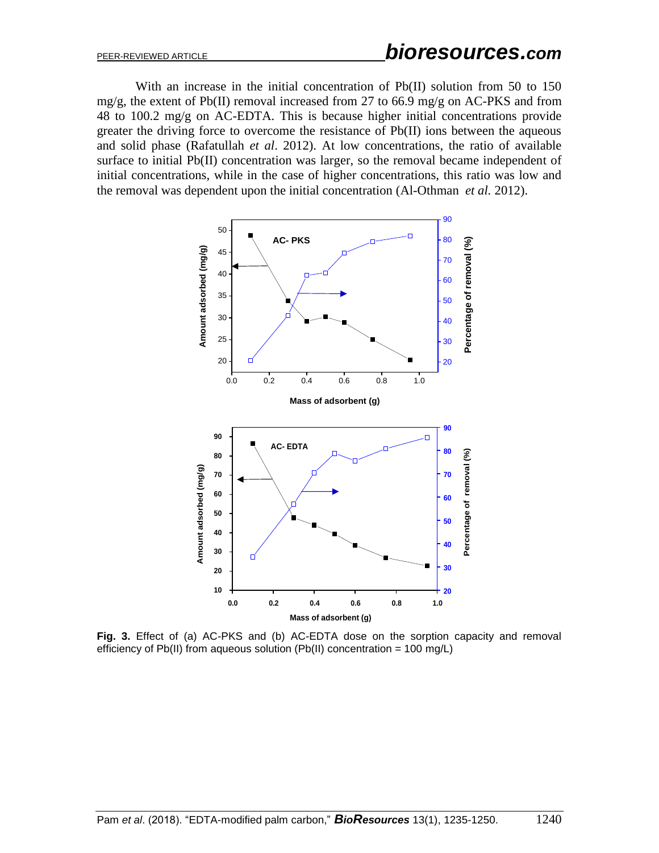With an increase in the initial concentration of Pb(II) solution from 50 to 150 mg/g, the extent of Pb(II) removal increased from 27 to 66.9 mg/g on AC-PKS and from 48 to 100.2 mg/g on AC-EDTA. This is because higher initial concentrations provide greater the driving force to overcome the resistance of Pb(II) ions between the aqueous and solid phase (Rafatullah *et al*. 2012). At low concentrations, the ratio of available surface to initial Pb(II) concentration was larger, so the removal became independent of initial concentrations, while in the case of higher concentrations, this ratio was low and the removal was dependent upon the initial concentration (Al-Othman *et al.* 2012).



**Fig. 3.** Effect of (a) AC-PKS and (b) AC-EDTA dose on the sorption capacity and removal efficiency of Pb(II) from aqueous solution (Pb(II) concentration = 100 mg/L)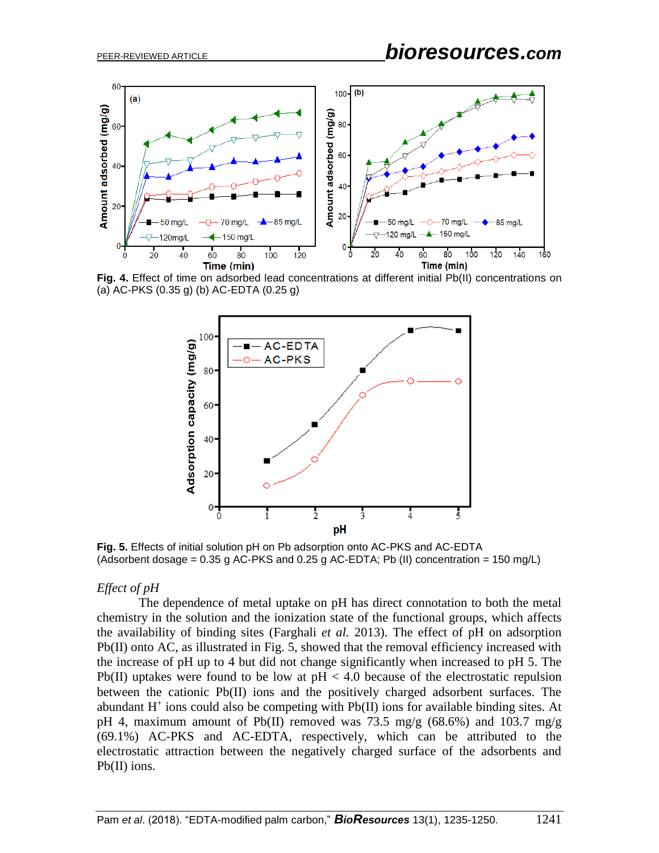

**Fig. 4.** Effect of time on adsorbed lead concentrations at different initial Pb(II) concentrations on (a) AC-PKS (0.35 g) (b) AC-EDTA (0.25 g)



**Fig. 5.** Effects of initial solution pH on Pb adsorption onto AC-PKS and AC-EDTA (Adsorbent dosage =  $0.35$  g AC-PKS and  $0.25$  g AC-EDTA; Pb (II) concentration =  $150$  mg/L)

#### *Effect of pH*

The dependence of metal uptake on pH has direct connotation to both the metal chemistry in the solution and the ionization state of the functional groups, which affects the availability of binding sites (Farghali *et al.* 2013). The effect of pH on adsorption Pb(II) onto AC, as illustrated in Fig. 5, showed that the removal efficiency increased with the increase of pH up to 4 but did not change significantly when increased to pH 5. The Pb(II) uptakes were found to be low at  $pH < 4.0$  because of the electrostatic repulsion between the cationic Pb(II) ions and the positively charged adsorbent surfaces. The abundant  $H^+$  ions could also be competing with  $Pb(II)$  ions for available binding sites. At pH 4, maximum amount of Pb(II) removed was 73.5 mg/g (68.6%) and 103.7 mg/g (69.1%) AC-PKS and AC-EDTA, respectively, which can be attributed to the electrostatic attraction between the negatively charged surface of the adsorbents and Pb(II) ions.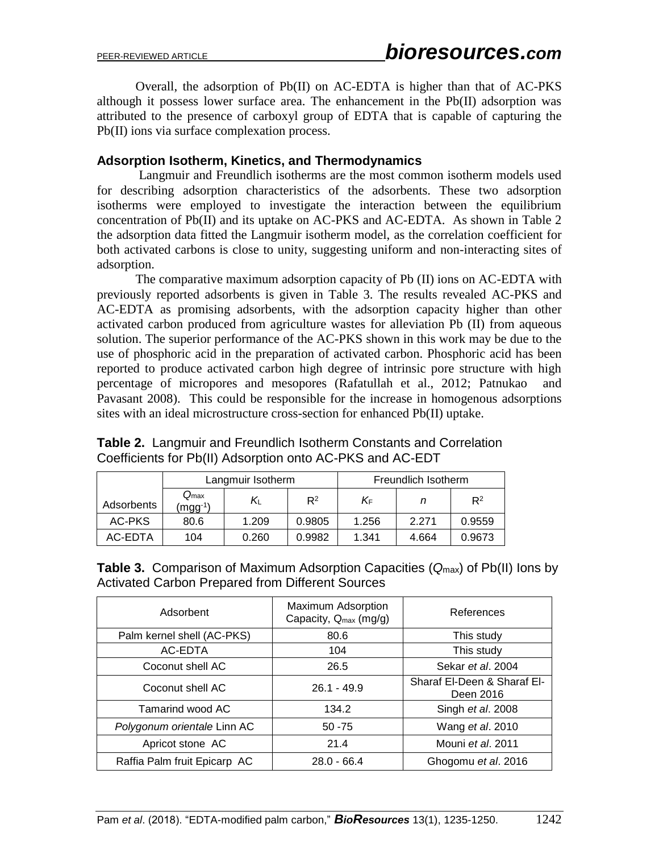Overall, the adsorption of Pb(II) on AC-EDTA is higher than that of AC-PKS although it possess lower surface area. The enhancement in the Pb(II) adsorption was attributed to the presence of carboxyl group of EDTA that is capable of capturing the Pb(II) ions via surface complexation process.

## **Adsorption Isotherm, Kinetics, and Thermodynamics**

Langmuir and Freundlich isotherms are the most common isotherm models used for describing adsorption characteristics of the adsorbents. These two adsorption isotherms were employed to investigate the interaction between the equilibrium concentration of Pb(II) and its uptake on AC-PKS and AC-EDTA. As shown in Table 2 the adsorption data fitted the Langmuir isotherm model, as the correlation coefficient for both activated carbons is close to unity, suggesting uniform and non-interacting sites of adsorption.

The comparative maximum adsorption capacity of Pb (II) ions on AC-EDTA with previously reported adsorbents is given in Table 3. The results revealed AC-PKS and AC-EDTA as promising adsorbents, with the adsorption capacity higher than other activated carbon produced from agriculture wastes for alleviation Pb (II) from aqueous solution. The superior performance of the AC-PKS shown in this work may be due to the use of phosphoric acid in the preparation of activated carbon. Phosphoric acid has been reported to produce activated carbon high degree of intrinsic pore structure with high percentage of micropores and mesopores (Rafatullah et al., 2012; Patnukao and Pavasant 2008). This could be responsible for the increase in homogenous adsorptions sites with an ideal microstructure cross-section for enhanced Pb(II) uptake.

|            |                                  | Langmuir Isotherm |        | Freundlich Isotherm |       |        |
|------------|----------------------------------|-------------------|--------|---------------------|-------|--------|
| Adsorbents | $Q_{\text{max}}$<br>$(mgg^{-1})$ | Kı                | $R^2$  | ΚF                  |       | $R^2$  |
| AC-PKS     | 80.6                             | 1.209             | 0.9805 | 1.256               | 2.271 | 0.9559 |
| AC-EDTA    | 104                              | 0.260             | 0.9982 | 1.341               | 4.664 | 0.9673 |

**Table 2.** Langmuir and Freundlich Isotherm Constants and Correlation Coefficients for Pb(II) Adsorption onto AC-PKS and AC-EDT

|  | <b>Table 3.</b> Comparison of Maximum Adsorption Capacities $(Q_{max})$ of Pb(II) lons by |  |  |  |
|--|-------------------------------------------------------------------------------------------|--|--|--|
|  | Activated Carbon Prepared from Different Sources                                          |  |  |  |

| Adsorbent                    | Maximum Adsorption<br>Capacity, $Q_{max}$ (mg/g) | References                               |
|------------------------------|--------------------------------------------------|------------------------------------------|
| Palm kernel shell (AC-PKS)   | 80.6                                             | This study                               |
| AC-EDTA                      | 104                                              | This study                               |
| Coconut shell AC             | 26.5                                             | Sekar et al. 2004                        |
| Coconut shell AC             | $26.1 - 49.9$                                    | Sharaf El-Deen & Sharaf El-<br>Deen 2016 |
| Tamarind wood AC             | 134.2                                            | Singh et al. 2008                        |
| Polygonum orientale Linn AC  | $50 - 75$                                        | Wang et al. 2010                         |
| Apricot stone AC             | 21.4                                             | Mouni et al. 2011                        |
| Raffia Palm fruit Epicarp AC | $28.0 - 66.4$                                    | Ghogomu et al. 2016                      |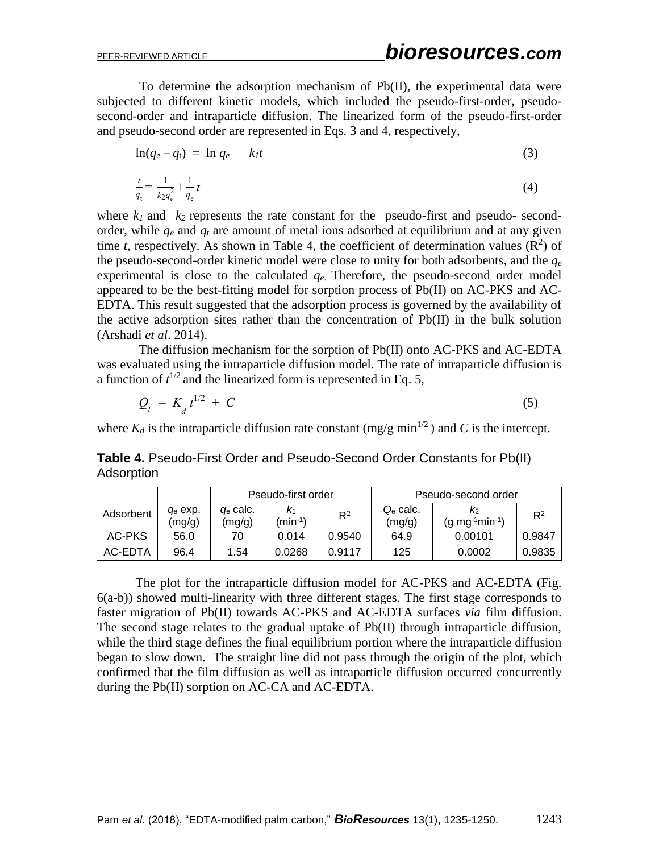To determine the adsorption mechanism of Pb(II), the experimental data were subjected to different kinetic models, which included the pseudo-first-order, pseudosecond-order and intraparticle diffusion. The linearized form of the pseudo-first-order and pseudo-second order are represented in Eqs. 3 and 4, respectively,

$$
\ln(q_e - q_t) = \ln q_e - k_l t \tag{3}
$$

$$
\frac{t}{q_{t}} = \frac{1}{k_2 q_{e}^2} + \frac{1}{q_{e}} t \tag{4}
$$

where  $k_1$  and  $k_2$  represents the rate constant for the pseudo-first and pseudo- secondorder, while  $q_e$  and  $q_t$  are amount of metal ions adsorbed at equilibrium and at any given time *t*, respectively. As shown in Table 4, the coefficient of determination values  $(R^2)$  of the pseudo-second-order kinetic model were close to unity for both adsorbents, and the *q<sup>e</sup>* experimental is close to the calculated  $q_e$ . Therefore, the pseudo-second order model appeared to be the best-fitting model for sorption process of Pb(II) on AC-PKS and AC-EDTA. This result suggested that the adsorption process is governed by the availability of the active adsorption sites rather than the concentration of Pb(II) in the bulk solution (Arshadi *et al*. 2014).

The diffusion mechanism for the sorption of Pb(II) onto AC-PKS and AC-EDTA was evaluated using the intraparticle diffusion model. The rate of intraparticle diffusion is a function of  $t^{1/2}$  and the linearized form is represented in Eq. 5,

$$
Q_t = K_d t^{1/2} + C \tag{5}
$$

where  $K_d$  is the intraparticle diffusion rate constant (mg/g min<sup>1/2</sup>) and C is the intercept.

**Table 4.** Pseudo-First Order and Pseudo-Second Order Constants for Pb(II) Adsorption

|           |                      | Pseudo-first order    |                            |        |                       | Pseudo-second order             |        |
|-----------|----------------------|-----------------------|----------------------------|--------|-----------------------|---------------------------------|--------|
| Adsorbent | $q_e$ exp.<br>(mg/g) | $q_e$ calc.<br>(mg/g) | K1<br>(min <sup>-1</sup> ) | $R^2$  | $Q_e$ calc.<br>(mg/g) | $(q \text{ mg}^1 \text{min}^1)$ | $R^2$  |
| AC-PKS    | 56.0                 | 70                    | 0.014                      | 0.9540 | 64.9                  | 0.00101                         | 0.9847 |
| AC-EDTA   | 96.4                 | 1.54                  | 0.0268                     | 0.9117 | 125                   | 0.0002                          | 0.9835 |

The plot for the intraparticle diffusion model for AC-PKS and AC-EDTA (Fig. 6(a-b)) showed multi-linearity with three different stages. The first stage corresponds to faster migration of Pb(II) towards AC-PKS and AC-EDTA surfaces *via* film diffusion. The second stage relates to the gradual uptake of Pb(II) through intraparticle diffusion, while the third stage defines the final equilibrium portion where the intraparticle diffusion began to slow down. The straight line did not pass through the origin of the plot, which confirmed that the film diffusion as well as intraparticle diffusion occurred concurrently during the Pb(II) sorption on AC-CA and AC-EDTA.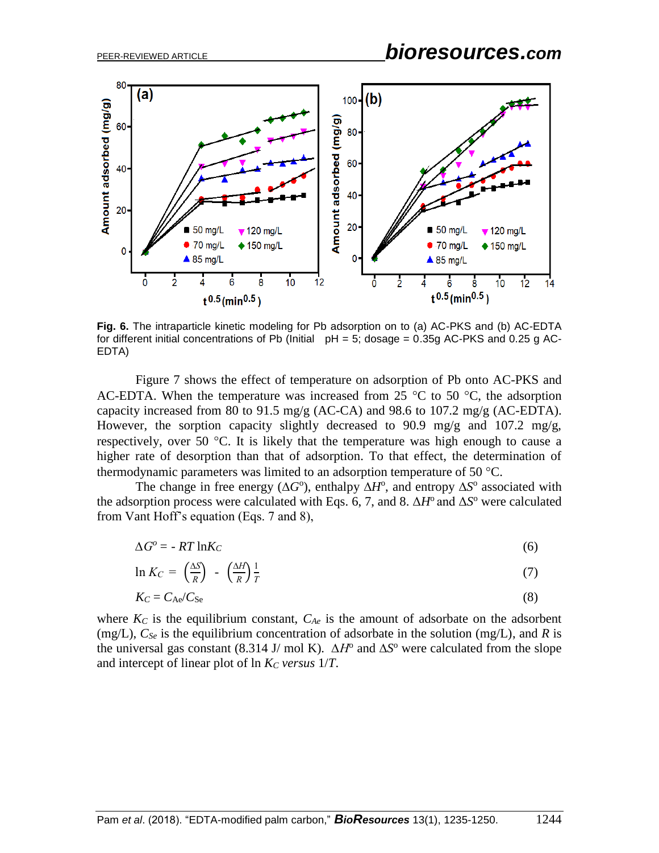

**Fig. 6.** The intraparticle kinetic modeling for Pb adsorption on to (a) AC-PKS and (b) AC-EDTA for different initial concentrations of Pb (Initial  $pH = 5$ ; dosage = 0.35g AC-PKS and 0.25 g AC-EDTA)

Figure 7 shows the effect of temperature on adsorption of Pb onto AC-PKS and AC-EDTA. When the temperature was increased from 25  $\degree$ C to 50  $\degree$ C, the adsorption capacity increased from 80 to 91.5 mg/g (AC-CA) and 98.6 to 107.2 mg/g (AC-EDTA). However, the sorption capacity slightly decreased to 90.9 mg/g and 107.2 mg/g, respectively, over 50  $\degree$ C. It is likely that the temperature was high enough to cause a higher rate of desorption than that of adsorption. To that effect, the determination of thermodynamic parameters was limited to an adsorption temperature of 50  $^{\circ}$ C.

The change in free energy ( $\Delta G^{\circ}$ ), enthalpy  $\Delta H^{\circ}$ , and entropy  $\Delta S^{\circ}$  associated with the adsorption process were calculated with Eqs. 6, 7, and 8.  $\Delta H^{\circ}$  and  $\Delta S^{\circ}$  were calculated from Vant Hoff's equation (Eqs. 7 and 8),

$$
\Delta G^o = -RT \ln K_C \tag{6}
$$

$$
\ln K_C = \left(\frac{\Delta S}{R}\right) - \left(\frac{\Delta H}{R}\right)\frac{1}{T}
$$
\n(7)

$$
K_C = C_{\text{Ae}} / C_{\text{Se}} \tag{8}
$$

where  $K_C$  is the equilibrium constant,  $C_{Ae}$  is the amount of adsorbate on the adsorbent (mg/L), *CSe* is the equilibrium concentration of adsorbate in the solution (mg/L), and *R* is the universal gas constant (8.314 J/ mol K).  $\Delta H^{\circ}$  and  $\Delta S^{\circ}$  were calculated from the slope and intercept of linear plot of ln *K<sup>C</sup> versus* 1/*T*.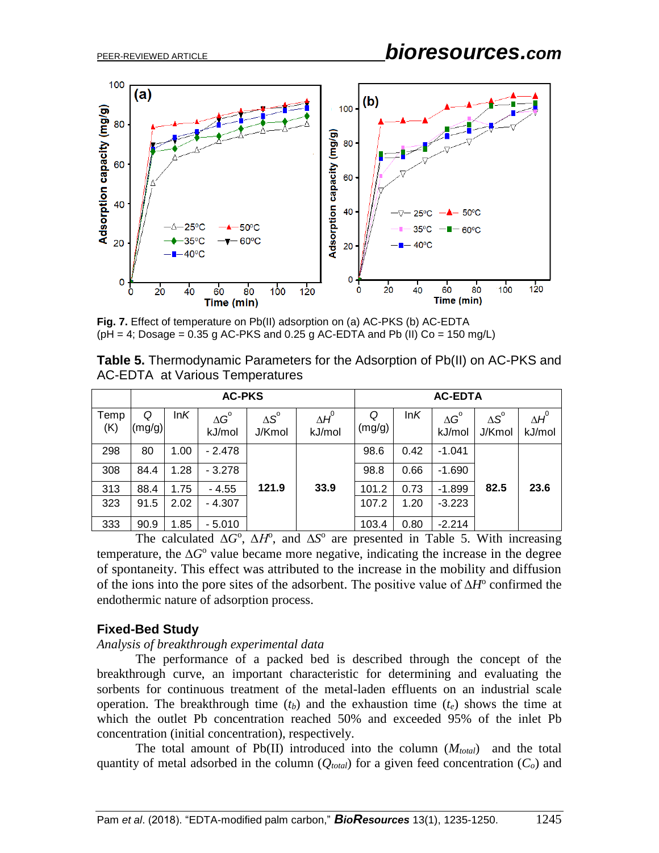

**Fig. 7.** Effect of temperature on Pb(II) adsorption on (a) AC-PKS (b) AC-EDTA  $(\text{pH} = 4; \text{Dosage} = 0.35 \text{ g AC-PKS}$  and 0.25 g AC-EDTA and Pb (II) Co = 150 mg/L)

**Table 5.** Thermodynamic Parameters for the Adsorption of Pb(II) on AC-PKS and AC-EDTA at Various Temperatures

|             | <b>AC-PKS</b> |      |                              |                              |                        |             | <b>AC-EDTA</b> |                              |                              |                        |
|-------------|---------------|------|------------------------------|------------------------------|------------------------|-------------|----------------|------------------------------|------------------------------|------------------------|
| Temp<br>(K) | Q<br>(mg/g)   | lnK  | $\Delta G^{\circ}$<br>kJ/mol | $\Delta S^{\circ}$<br>J/Kmol | $\Delta H^0$<br>kJ/mol | Q<br>(mg/g) | lnK            | $\Delta G^{\circ}$<br>kJ/mol | $\Delta S^{\circ}$<br>J/Kmol | $\Delta H^0$<br>kJ/mol |
| 298         | 80            | 1.00 | $-2.478$                     |                              |                        | 98.6        | 0.42           | $-1.041$                     |                              |                        |
| 308         | 84.4          | 1.28 | $-3.278$                     |                              |                        | 98.8        | 0.66           | $-1.690$                     |                              |                        |
| 313         | 88.4          | 1.75 | - 4.55                       | 121.9                        | 33.9                   | 101.2       | 0.73           | $-1.899$                     | 82.5                         | 23.6                   |
| 323         | 91.5          | 2.02 | $-4.307$                     |                              |                        | 107.2       | 1.20           | $-3.223$                     |                              |                        |
| 333         | 90.9          | 1.85 | $-5.010$                     |                              |                        | 103.4       | 0.80           | $-2.214$                     |                              |                        |

The calculated  $\Delta G^{\circ}$ ,  $\Delta H^{\circ}$ , and  $\Delta S^{\circ}$  are presented in Table 5. With increasing temperature, the ∆*G*<sup>o</sup> value became more negative, indicating the increase in the degree of spontaneity. This effect was attributed to the increase in the mobility and diffusion of the ions into the pore sites of the adsorbent. The positive value of ∆*H*<sup>o</sup> confirmed the endothermic nature of adsorption process.

# **Fixed-Bed Study**

#### *Analysis of breakthrough experimental data*

The performance of a packed bed is described through the concept of the breakthrough curve, an important characteristic for determining and evaluating the sorbents for continuous treatment of the metal-laden effluents on an industrial scale operation. The breakthrough time  $(t_b)$  and the exhaustion time  $(t_e)$  shows the time at which the outlet Pb concentration reached 50% and exceeded 95% of the inlet Pb concentration (initial concentration), respectively.

The total amount of  $Pb(II)$  introduced into the column  $(M_{total})$  and the total quantity of metal adsorbed in the column  $(Q_{total})$  for a given feed concentration  $(C_o)$  and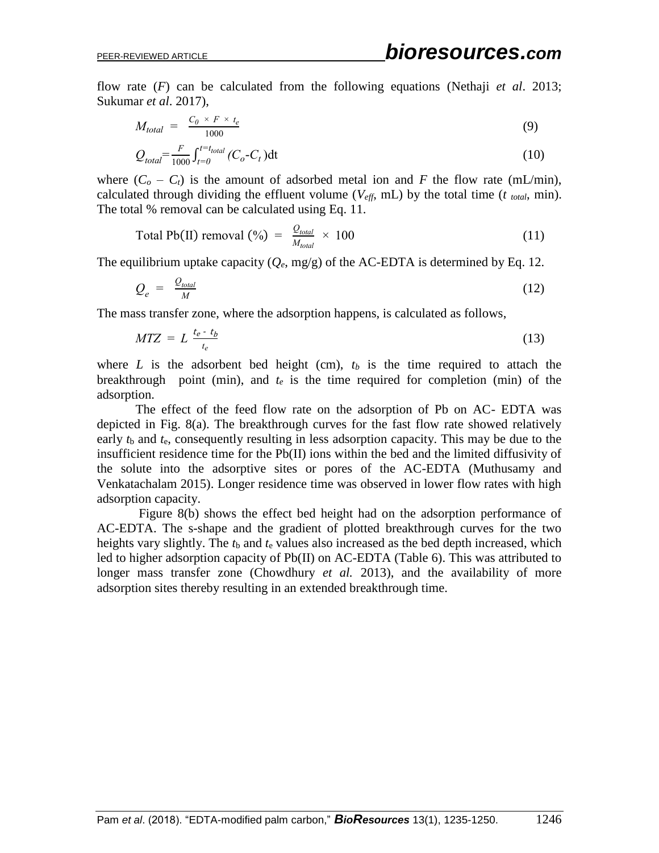flow rate (*F*) can be calculated from the following equations (Nethaji *et al*. 2013; Sukumar *et al*. 2017),

$$
M_{total} = \frac{C_0 \times F \times t_e}{1000} \tag{9}
$$

$$
Q_{total} = \frac{F}{1000} \int_{t=0}^{t=t_{total}} (C_o - C_t) dt
$$
 (10)

where  $(C_o - C_t)$  is the amount of adsorbed metal ion and *F* the flow rate (mL/min), calculated through dividing the effluent volume ( $V_{\text{eff}}$ , mL) by the total time ( $t$  *total*, min). The total % removal can be calculated using Eq. 11.

$$
Total Pb(II) removal (%) = \frac{Q_{total}}{M_{total}} \times 100
$$
 (11)

The equilibrium uptake capacity  $(Q_e, mg/g)$  of the AC-EDTA is determined by Eq. 12.

$$
Q_e = \frac{Q_{total}}{M} \tag{12}
$$

The mass transfer zone, where the adsorption happens, is calculated as follows,

$$
MTZ = L \frac{t_e - t_b}{t_e} \tag{13}
$$

where  $L$  is the adsorbent bed height (cm),  $t_b$  is the time required to attach the breakthrough point (min), and  $t_e$  is the time required for completion (min) of the adsorption.

The effect of the feed flow rate on the adsorption of Pb on AC- EDTA was depicted in Fig. 8(a). The breakthrough curves for the fast flow rate showed relatively early  $t<sub>b</sub>$  and  $t<sub>e</sub>$ , consequently resulting in less adsorption capacity. This may be due to the insufficient residence time for the Pb(II) ions within the bed and the limited diffusivity of the solute into the adsorptive sites or pores of the AC-EDTA (Muthusamy and Venkatachalam 2015). Longer residence time was observed in lower flow rates with high adsorption capacity.

Figure 8(b) shows the effect bed height had on the adsorption performance of AC-EDTA. The s-shape and the gradient of plotted breakthrough curves for the two heights vary slightly. The *t*<sup>b</sup> and *t*<sup>e</sup> values also increased as the bed depth increased, which led to higher adsorption capacity of Pb(II) on AC-EDTA (Table 6). This was attributed to longer mass transfer zone (Chowdhury *et al.* 2013), and the availability of more adsorption sites thereby resulting in an extended breakthrough time.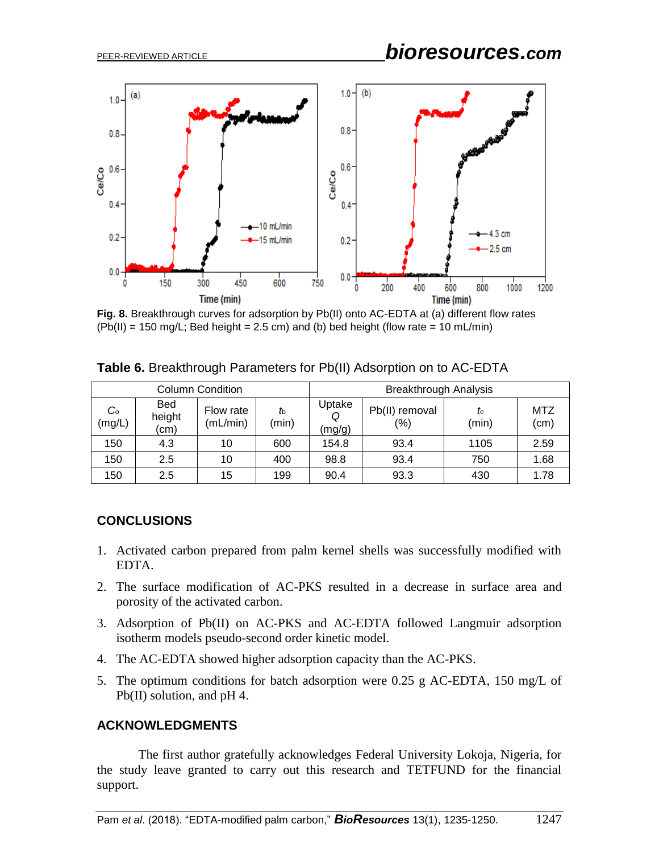

**Fig. 8.** Breakthrough curves for adsorption by Pb(II) onto AC-EDTA at (a) different flow rates  $(Pb(II) = 150 \text{ mg/L}$ ; Bed height = 2.5 cm) and (b) bed height (flow rate = 10 mL/min)

| <b>Column Condition</b> |                      |                       |             |                  | <b>Breakthrough Analysis</b> |             |                    |
|-------------------------|----------------------|-----------------------|-------------|------------------|------------------------------|-------------|--------------------|
| $C_{\circ}$<br>(mg/L)   | Bed<br>height<br>(cm | Flow rate<br>(mL/min) | th<br>(min) | Uptake<br>(mg/g) | Pb(II) removal<br>(%)        | te<br>(min) | <b>MTZ</b><br>(cm) |
| 150                     | 4.3                  | 10                    | 600         | 154.8            | 93.4                         | 1105        | 2.59               |
| 150                     | 2.5                  | 10                    | 400         | 98.8             | 93.4                         | 750         | 1.68               |
| 150                     | 2.5                  | 15                    | 199         | 90.4             | 93.3                         | 430         | 1.78               |

**Table 6.** Breakthrough Parameters for Pb(II) Adsorption on to AC-EDTA

# **CONCLUSIONS**

- 1. Activated carbon prepared from palm kernel shells was successfully modified with EDTA.
- 2. The surface modification of AC-PKS resulted in a decrease in surface area and porosity of the activated carbon.
- 3. Adsorption of Pb(II) on AC-PKS and AC-EDTA followed Langmuir adsorption isotherm models pseudo-second order kinetic model.
- 4. The AC-EDTA showed higher adsorption capacity than the AC-PKS.
- 5. The optimum conditions for batch adsorption were 0.25 g AC-EDTA, 150 mg/L of Pb(II) solution, and pH 4.

# **ACKNOWLEDGMENTS**

The first author gratefully acknowledges Federal University Lokoja, Nigeria, for the study leave granted to carry out this research and TETFUND for the financial support.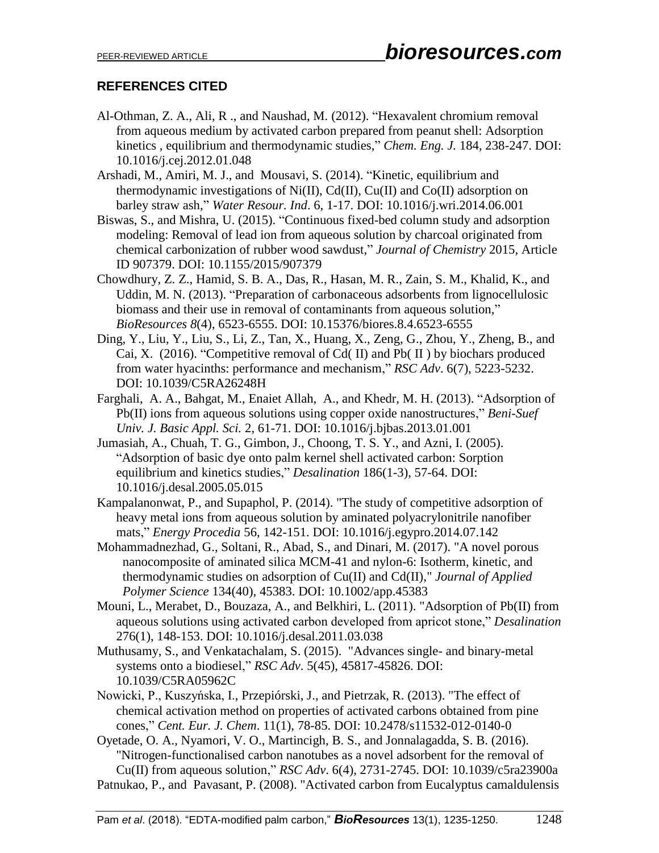# **REFERENCES CITED**

- Al-Othman, Z. A., Ali, R ., and Naushad, M. (2012). "Hexavalent chromium removal from aqueous medium by activated carbon prepared from peanut shell: Adsorption kinetics , equilibrium and thermodynamic studies," *Chem. Eng. J.* 184, 238-247. DOI: 10.1016/j.cej.2012.01.048
- Arshadi, M., Amiri, M. J., and Mousavi, S. (2014). "Kinetic, equilibrium and thermodynamic investigations of Ni(II), Cd(II), Cu(II) and Co(II) adsorption on barley straw ash," *Water Resour. Ind*. 6, 1-17. DOI: 10.1016/j.wri.2014.06.001
- Biswas, S., and Mishra, U. (2015). "Continuous fixed-bed column study and adsorption modeling: Removal of lead ion from aqueous solution by charcoal originated from chemical carbonization of rubber wood sawdust," *Journal of Chemistry* 2015, Article ID 907379. DOI: 10.1155/2015/907379
- Chowdhury, Z. Z., Hamid, S. B. A., Das, R., Hasan, M. R., Zain, S. M., Khalid, K., and Uddin, M. N. (2013). "Preparation of carbonaceous adsorbents from lignocellulosic biomass and their use in removal of contaminants from aqueous solution," *BioResources 8*(4), 6523-6555. DOI: 10.15376/biores.8.4.6523-6555
- Ding, Y., Liu, Y., Liu, S., Li, Z., Tan, X., Huang, X., Zeng, G., Zhou, Y., Zheng, B., and Cai, X. (2016). "Competitive removal of Cd( II) and Pb( II ) by biochars produced from water hyacinths: performance and mechanism," *RSC Adv*. 6(7), 5223-5232. DOI: 10.1039/C5RA26248H
- Farghali, A. A., Bahgat, M., Enaiet Allah, A., and Khedr, M. H. (2013). "Adsorption of Pb(II) ions from aqueous solutions using copper oxide nanostructures," *Beni-Suef Univ. J. Basic Appl. Sci.* 2, 61-71. DOI: 10.1016/j.bjbas.2013.01.001
- Jumasiah, A., Chuah, T. G., Gimbon, J., Choong, T. S. Y., and Azni, I. (2005). "Adsorption of basic dye onto palm kernel shell activated carbon: Sorption equilibrium and kinetics studies," *Desalination* 186(1-3), 57-64. DOI: 10.1016/j.desal.2005.05.015
- Kampalanonwat, P., and Supaphol, P. (2014). "The study of competitive adsorption of heavy metal ions from aqueous solution by aminated polyacrylonitrile nanofiber mats," *Energy Procedia* 56, 142-151. DOI: 10.1016/j.egypro.2014.07.142
- Mohammadnezhad, G., Soltani, R., Abad, S., and Dinari, M. (2017). "A novel porous nanocomposite of aminated silica MCM-41 and nylon-6: Isotherm, kinetic, and thermodynamic studies on adsorption of Cu(II) and Cd(II)," *Journal of Applied Polymer Science* 134(40), 45383. DOI: 10.1002/app.45383
- Mouni, L., Merabet, D., Bouzaza, A., and Belkhiri, L. (2011). "Adsorption of Pb(II) from aqueous solutions using activated carbon developed from apricot stone," *Desalination*  276(1), 148-153. DOI: 10.1016/j.desal.2011.03.038
- Muthusamy, S., and Venkatachalam, S. (2015). "Advances single- and binary-metal systems onto a biodiesel," *RSC Adv*. 5(45), 45817-45826. DOI: 10.1039/C5RA05962C
- Nowicki, P., Kuszyńska, I., Przepiórski, J., and Pietrzak, R. (2013). "The effect of chemical activation method on properties of activated carbons obtained from pine cones," *Cent. Eur. J. Chem*. 11(1), 78-85. DOI: 10.2478/s11532-012-0140-0
- Oyetade, O. A., Nyamori, V. O., Martincigh, B. S., and Jonnalagadda, S. B. (2016). "Nitrogen-functionalised carbon nanotubes as a novel adsorbent for the removal of Cu(II) from aqueous solution," *RSC Adv*. 6(4), 2731-2745. DOI: 10.1039/c5ra23900a Patnukao, P., and Pavasant, P. (2008). "Activated carbon from Eucalyptus camaldulensis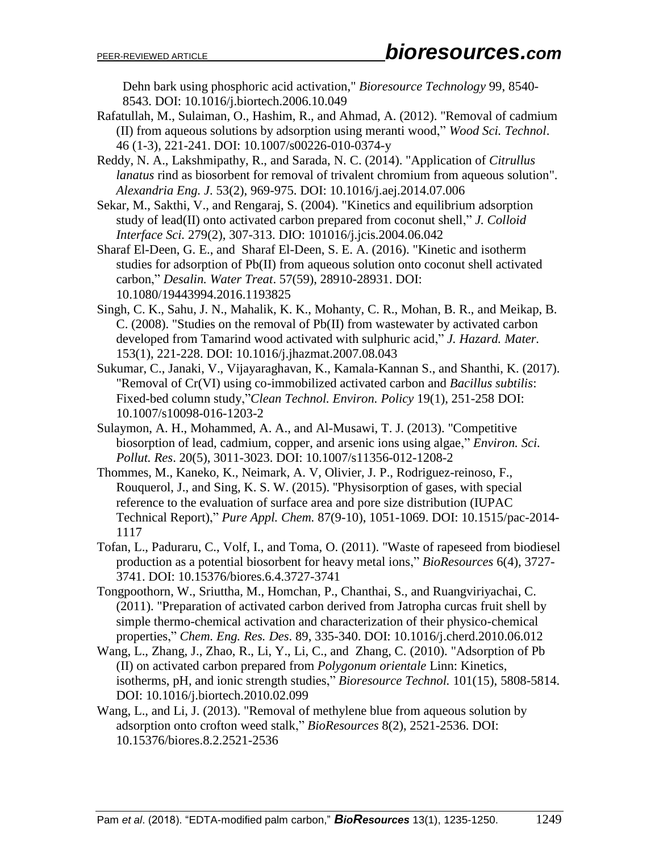Dehn bark using phosphoric acid activation," *Bioresource Technology* 99, 8540- 8543. DOI: 10.1016/j.biortech.2006.10.049

- Rafatullah, M., Sulaiman, O., Hashim, R., and Ahmad, A. (2012). "Removal of cadmium (II) from aqueous solutions by adsorption using meranti wood," *Wood Sci. Technol*. 46 (1-3), 221-241. DOI: 10.1007/s00226-010-0374-y
- Reddy, N. A., Lakshmipathy, R., and Sarada, N. C. (2014). "Application of *Citrullus lanatus* rind as biosorbent for removal of trivalent chromium from aqueous solution". *Alexandria Eng. J*. 53(2), 969-975. DOI: 10.1016/j.aej.2014.07.006
- Sekar, M., Sakthi, V., and Rengaraj, S. (2004). "Kinetics and equilibrium adsorption study of lead(II) onto activated carbon prepared from coconut shell," *J. Colloid Interface Sci.* 279(2), 307-313. DIO: 101016/j.jcis.2004.06.042
- Sharaf El-Deen, G. E., and Sharaf El-Deen, S. E. A. (2016). "Kinetic and isotherm studies for adsorption of Pb(II) from aqueous solution onto coconut shell activated carbon," *Desalin. Water Treat*. 57(59), 28910-28931. DOI: 10.1080/19443994.2016.1193825
- Singh, C. K., Sahu, J. N., Mahalik, K. K., Mohanty, C. R., Mohan, B. R., and Meikap, B. C. (2008). "Studies on the removal of Pb(II) from wastewater by activated carbon developed from Tamarind wood activated with sulphuric acid," *J. Hazard. Mater.* 153(1), 221-228. DOI: 10.1016/j.jhazmat.2007.08.043
- Sukumar, C., Janaki, V., Vijayaraghavan, K., Kamala-Kannan S., and Shanthi, K. (2017). "Removal of Cr(VI) using co-immobilized activated carbon and *Bacillus subtilis*: Fixed-bed column study,"*Clean Technol. Environ. Policy* 19(1), 251-258 DOI: 10.1007/s10098-016-1203-2
- Sulaymon, A. H., Mohammed, A. A., and Al-Musawi, T. J. (2013). "Competitive biosorption of lead, cadmium, copper, and arsenic ions using algae," *Environ. Sci. Pollut. Res*. 20(5), 3011-3023. DOI: 10.1007/s11356-012-1208-2
- Thommes, M., Kaneko, K., Neimark, A. V, Olivier, J. P., Rodriguez-reinoso, F., Rouquerol, J., and Sing, K. S. W. (2015). ''Physisorption of gases, with special reference to the evaluation of surface area and pore size distribution (IUPAC Technical Report)," *Pure Appl. Chem.* 87(9-10), 1051-1069. DOI: 10.1515/pac-2014- 1117
- Tofan, L., Paduraru, C., Volf, I., and Toma, O. (2011). "Waste of rapeseed from biodiesel production as a potential biosorbent for heavy metal ions," *BioResources* 6(4), 3727- 3741. DOI: 10.15376/biores.6.4.3727-3741
- Tongpoothorn, W., Sriuttha, M., Homchan, P., Chanthai, S., and Ruangviriyachai, C. (2011). "Preparation of activated carbon derived from Jatropha curcas fruit shell by simple thermo-chemical activation and characterization of their physico-chemical properties," *Chem. Eng. Res. Des*. 89, 335-340. DOI: 10.1016/j.cherd.2010.06.012
- Wang, L., Zhang, J., Zhao, R., Li, Y., Li, C., and Zhang, C. (2010). "Adsorption of Pb (II) on activated carbon prepared from *Polygonum orientale* Linn: Kinetics, isotherms, pH, and ionic strength studies," *Bioresource Technol.* 101(15), 5808-5814. DOI: 10.1016/j.biortech.2010.02.099
- Wang, L., and Li, J. (2013). "Removal of methylene blue from aqueous solution by adsorption onto crofton weed stalk," *BioResources* 8(2), 2521-2536. DOI: 10.15376/biores.8.2.2521-2536